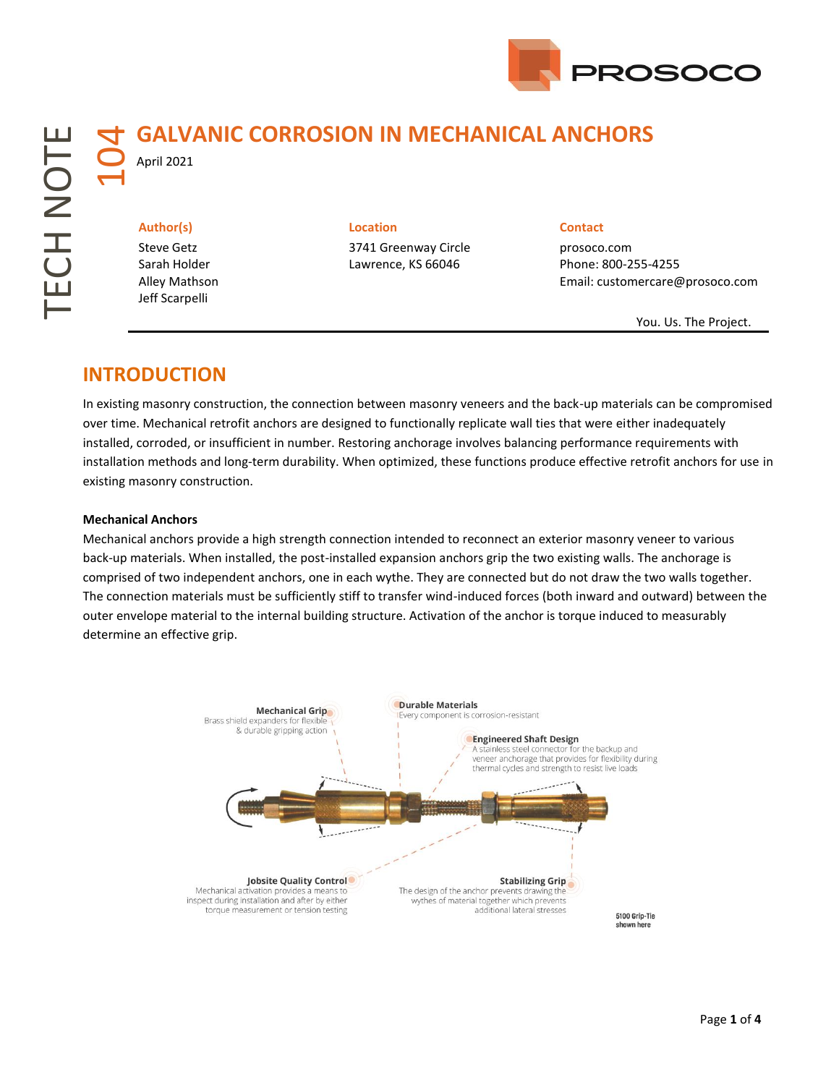

# 104**GALVANIC CORROSION IN MECHANICAL ANCHORS**

April 2021

Steve Getz Sarah Holder Alley Mathson Jeff Scarpelli

#### **Author(s) Location Contact**

3741 Greenway Circle Lawrence, KS 66046

prosoco.com Phone: 800-255-4255 Email: customercare@prosoco.com

You. Us. The Project.

## **INTRODUCTION**

In existing masonry construction, the connection between masonry veneers and the back-up materials can be compromised over time. Mechanical retrofit anchors are designed to functionally replicate wall ties that were either inadequately installed, corroded, or insufficient in number. Restoring anchorage involves balancing performance requirements with installation methods and long-term durability. When optimized, these functions produce effective retrofit anchors for use in existing masonry construction.

#### **Mechanical Anchors**

Mechanical anchors provide a high strength connection intended to reconnect an exterior masonry veneer to various back-up materials. When installed, the post-installed expansion anchors grip the two existing walls. The anchorage is comprised of two independent anchors, one in each wythe. They are connected but do not draw the two walls together. The connection materials must be sufficiently stiff to transfer wind-induced forces (both inward and outward) between the outer envelope material to the internal building structure. Activation of the anchor is torque induced to measurably determine an effective grip.

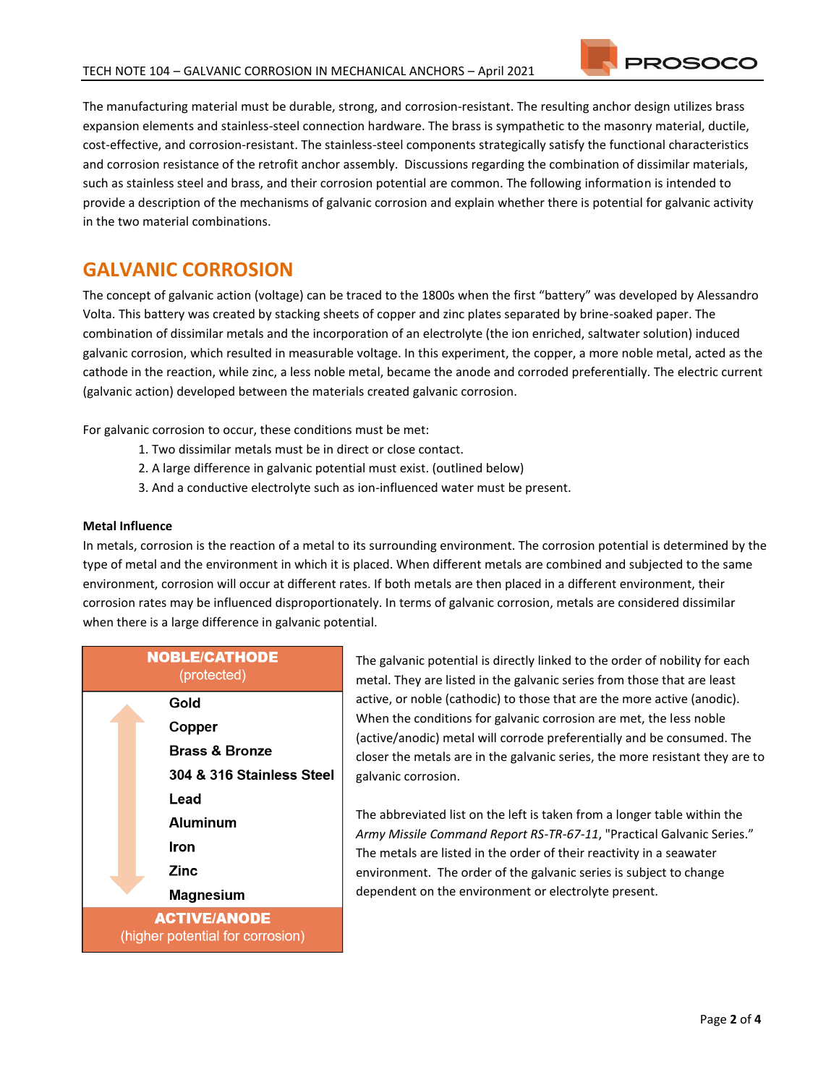The manufacturing material must be durable, strong, and corrosion-resistant. The resulting anchor design utilizes brass expansion elements and stainless-steel connection hardware. The brass is sympathetic to the masonry material, ductile, cost-effective, and corrosion-resistant. The stainless-steel components strategically satisfy the functional characteristics and corrosion resistance of the retrofit anchor assembly. Discussions regarding the combination of dissimilar materials, such as stainless steel and brass, and their corrosion potential are common. The following information is intended to provide a description of the mechanisms of galvanic corrosion and explain whether there is potential for galvanic activity in the two material combinations.

## **GALVANIC CORROSION**

The concept of galvanic action (voltage) can be traced to the 1800s when the first "battery" was developed by Alessandro Volta. This battery was created by stacking sheets of copper and zinc plates separated by brine-soaked paper. The combination of dissimilar metals and the incorporation of an electrolyte (the ion enriched, saltwater solution) induced galvanic corrosion, which resulted in measurable voltage. In this experiment, the copper, a more noble metal, acted as the cathode in the reaction, while zinc, a less noble metal, became the anode and corroded preferentially. The electric current (galvanic action) developed between the materials created galvanic corrosion.

For galvanic corrosion to occur, these conditions must be met:

- 1. Two dissimilar metals must be in direct or close contact.
- 2. A large difference in galvanic potential must exist. (outlined below)
- 3. And a conductive electrolyte such as ion-influenced water must be present.

#### **Metal Influence**

In metals, corrosion is the reaction of a metal to its surrounding environment. The corrosion potential is determined by the type of metal and the environment in which it is placed. When different metals are combined and subjected to the same environment, corrosion will occur at different rates. If both metals are then placed in a different environment, their corrosion rates may be influenced disproportionately. In terms of galvanic corrosion, metals are considered dissimilar when there is a large difference in galvanic potential.



The galvanic potential is directly linked to the order of nobility for each metal. They are listed in the galvanic series from those that are least active, or noble (cathodic) to those that are the more active (anodic). When the conditions for galvanic corrosion are met, the less noble (active/anodic) metal will corrode preferentially and be consumed. The closer the metals are in the galvanic series, the more resistant they are to galvanic corrosion.

The abbreviated list on the left is taken from a longer table within the *Army Missile Command Report RS-TR-67-11*, "Practical Galvanic Series." The metals are listed in the order of their reactivity in a seawater environment. The order of the galvanic series is subject to change dependent on the environment or electrolyte present.

**PROSOCC**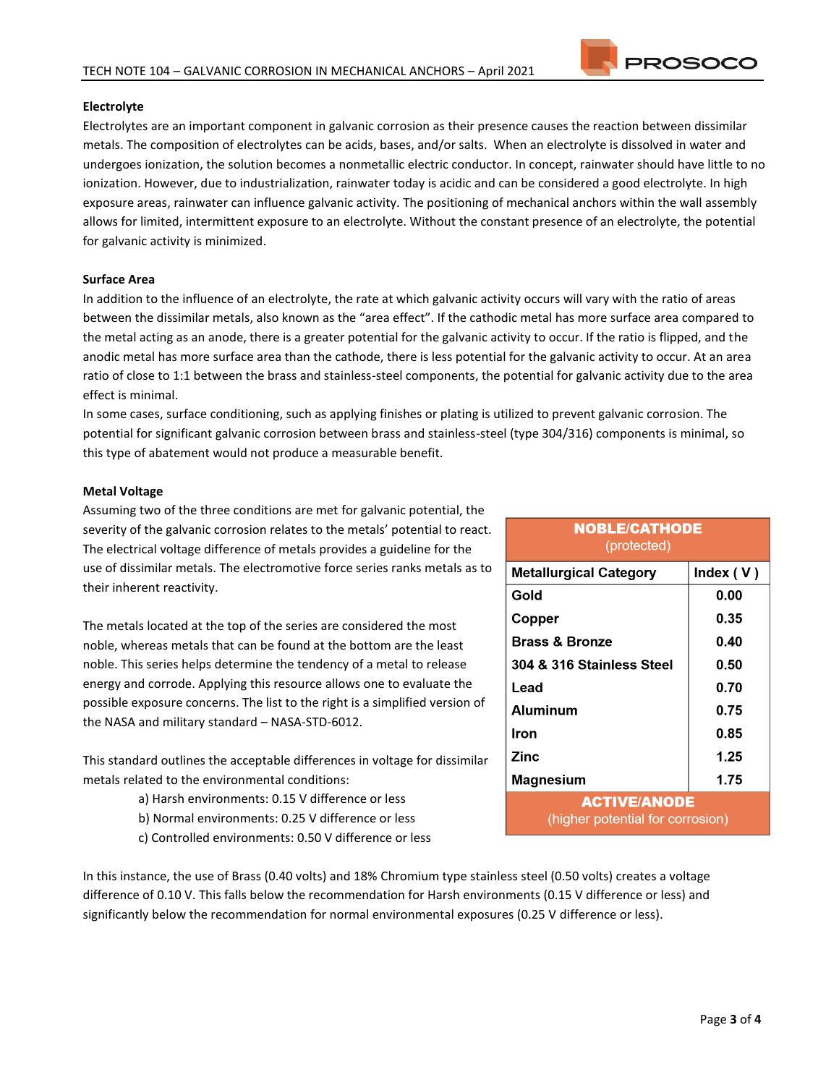

### **Electrolyte**

Electrolytes are an important component in galvanic corrosion as their presence causes the reaction between dissimilar metals. The composition of electrolytes can be acids, bases, and/or salts. When an electrolyte is dissolved in water and undergoes ionization, the solution becomes a nonmetallic electric conductor. In concept, rainwater should have little to no ionization. However, due to industrialization, rainwater today is acidic and can be considered a good electrolyte. In high exposure areas, rainwater can influence galvanic activity. The positioning of mechanical anchors within the wall assembly allows for limited, intermittent exposure to an electrolyte. Without the constant presence of an electrolyte, the potential for galvanic activity is minimized.

### **Surface Area**

In addition to the influence of an electrolyte, the rate at which galvanic activity occurs will vary with the ratio of areas between the dissimilar metals, also known as the "area effect". If the cathodic metal has more surface area compared to the metal acting as an anode, there is a greater potential for the galvanic activity to occur. If the ratio is flipped, and the anodic metal has more surface area than the cathode, there is less potential for the galvanic activity to occur. At an area ratio of close to 1:1 between the brass and stainless-steel components, the potential for galvanic activity due to the area effect is minimal.

In some cases, surface conditioning, such as applying finishes or plating is utilized to prevent galvanic corrosion. The potential for significant galvanic corrosion between brass and stainless-steel (type 304/316) components is minimal, so this type of abatement would not produce a measurable benefit.

#### **Metal Voltage**

Assuming two of the three conditions are met for galvanic potential, the severity of the galvanic corrosion relates to the metals' potential to react. The electrical voltage difference of metals provides a guideline for the use of dissimilar metals. The electromotive force series ranks metals as to their inherent reactivity.

The metals located at the top of the series are considered the most noble, whereas metals that can be found at the bottom are the least noble. This series helps determine the tendency of a metal to release energy and corrode. Applying this resource allows one to evaluate the possible exposure concerns. The list to the right is a simplified version of the NASA and military standard – NASA-STD-6012.

This standard outlines the acceptable differences in voltage for dissimilar metals related to the environmental conditions:

- a) Harsh environments: 0.15 V difference or less
- b) Normal environments: 0.25 V difference or less
- c) Controlled environments: 0.50 V difference or less

| <b>NOBLE/CATHODE</b><br>(protected)                     |             |
|---------------------------------------------------------|-------------|
| <b>Metallurgical Category</b>                           | Index $(V)$ |
| Gold                                                    | 0.00        |
| Copper                                                  | 0.35        |
| <b>Brass &amp; Bronze</b>                               | 0.40        |
| 304 & 316 Stainless Steel                               | 0.50        |
| Lead                                                    | 0.70        |
| Aluminum                                                | 0.75        |
| Iron                                                    | 0.85        |
| Zinc                                                    | 1.25        |
| Magnesium                                               | 1.75        |
| <b>ACTIVE/ANODE</b><br>(higher potential for corrosion) |             |

In this instance, the use of Brass (0.40 volts) and 18% Chromium type stainless steel (0.50 volts) creates a voltage difference of 0.10 V. This falls below the recommendation for Harsh environments (0.15 V difference or less) and significantly below the recommendation for normal environmental exposures (0.25 V difference or less).